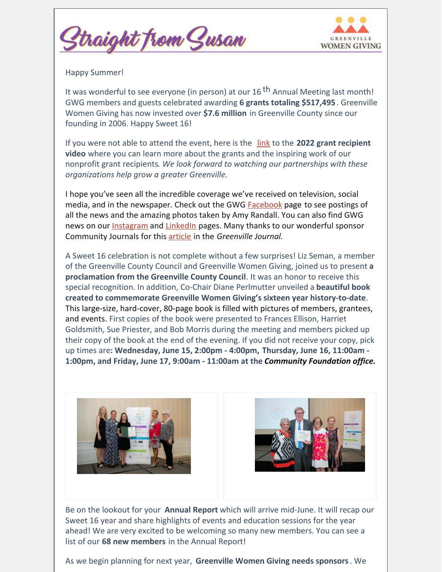



Happy Summer!

It was wonderful to see everyone (in person) at our 16 <sup>th</sup> Annual Meeting last month! GWG members and guests celebrated awarding **6 grants totaling \$517,495**. Greenville Women Giving has now invested over **\$7.6 million** in Greenville County since our founding in 2006. Happy Sweet 16!

If you were not able to attend the event, here is the [link](https://www.youtube.com/watch?v=YHA7KCsLX4A&t=217s) to the **2022 grant recipient video** where you can learn more about the grants and the inspiring work of our nonprofit grant recipients*. We look forward to watching our partnerships with these organizations help grow a greater Greenville.*

I hope you've seen all the incredible coverage we've received on television, social media, and in the newspaper. Check out the GWG **[Facebook](https://www.facebook.com/GreenvilleWomen/)** [page](https://www.facebook.com/GreenvilleWomen) to see postings of all the news and the amazing photos taken by Amy Randall. You can also find GWG news on our **[Instagram](https://www.instagram.com/greenvillewomengiving/)** and **[LinkedIn](https://www.linkedin.com/company/33219654/admin/)** pages. Many thanks to our wonderful sponsor Community Journals for this [article](https://greenvillejournal.com/community/greenville-women-giving-awards-over-517k-to-local-nonprofits/) in the *Greenville Journal.*

A Sweet 16 celebration is not complete without a few surprises! Liz Seman, a member of the Greenville County Council and Greenville Women Giving, joined us to present **a proclamation from the Greenville County Council**. It was an honor to receive this special recognition. In addition, Co-Chair Diane Perlmutter unveiled a **beautiful book created to commemorate Greenville Women Giving's sixteen year history-to-date**. This large-size, hard-cover, 80-page book is filled with pictures of members, grantees, and events. First copies of the book were presented to Frances Ellison, Harriet Goldsmith, Sue Priester, and Bob Morris during the meeting and members picked up their copy of the book at the end of the evening. If you did not receive your copy, pick up times are**: Wednesday, June 15, 2:00pm - 4:00pm, Thursday, June 16, 11:00am - 1:00pm, and Friday, June 17, 9:00am - 11:00am at the** *Community Foundation office.*





Be on the lookout for your **Annual Report** which will arrive mid-June. It will recap our Sweet 16 year and share highlights of events and education sessions for the year ahead! We are very excited to be welcoming so many new members. You can see a list of our **68 new members** in the Annual Report!

As we begin planning for next year, **Greenville Women Giving needs sponsors**. We